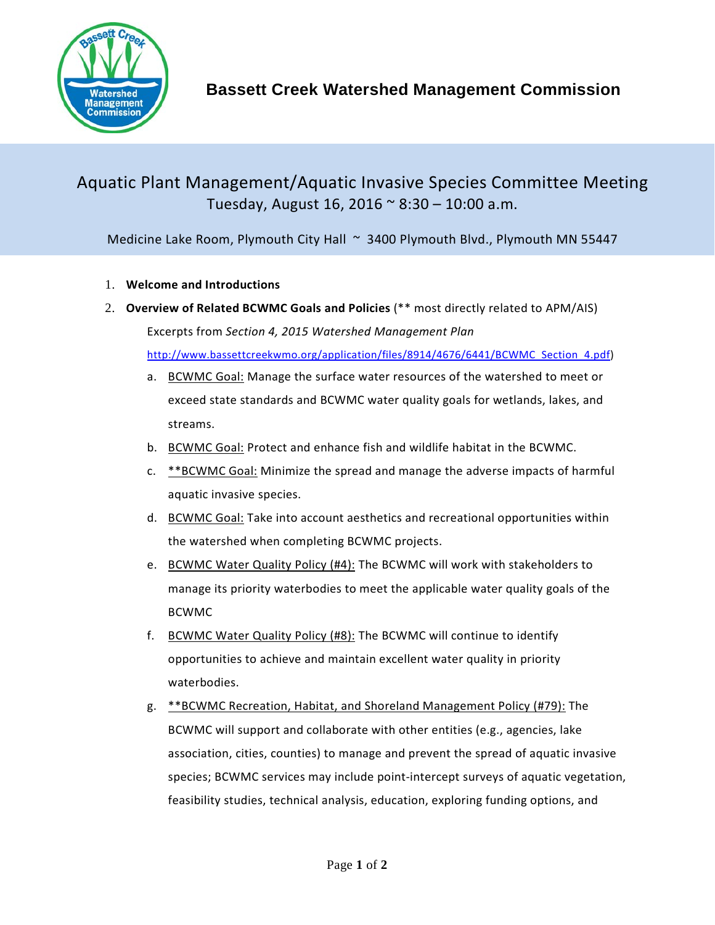

## Aquatic Plant Management/Aquatic Invasive Species Committee Meeting Tuesday, August 16, 2016  $\approx$  8:30 – 10:00 a.m.

Medicine Lake Room, Plymouth City Hall ~ 3400 Plymouth Blvd., Plymouth MN 55447

- 1. **Welcome and Introductions**
- 2. **Overview of Related BCWMC Goals and Policies** (\*\* most directly related to APM/AIS) Excerpts from *Section 4, 2015 Watershed Management Plan* [http://www.bassettcreekwmo.org/application/files/8914/4676/6441/BCWMC\\_Section\\_4.pdf\)](http://www.bassettcreekwmo.org/application/files/8914/4676/6441/BCWMC_Section_4.pdf)
	- a. BCWMC Goal: Manage the surface water resources of the watershed to meet or exceed state standards and BCWMC water quality goals for wetlands, lakes, and streams.
	- b. BCWMC Goal: Protect and enhance fish and wildlife habitat in the BCWMC.
	- c. \*\*BCWMC Goal: Minimize the spread and manage the adverse impacts of harmful aquatic invasive species.
	- d. BCWMC Goal: Take into account aesthetics and recreational opportunities within the watershed when completing BCWMC projects.
	- e. BCWMC Water Quality Policy (#4): The BCWMC will work with stakeholders to manage its priority waterbodies to meet the applicable water quality goals of the BCWMC
	- f. BCWMC Water Quality Policy (#8): The BCWMC will continue to identify opportunities to achieve and maintain excellent water quality in priority waterbodies.
	- g. \*\*BCWMC Recreation, Habitat, and Shoreland Management Policy (#79): The BCWMC will support and collaborate with other entities (e.g., agencies, lake association, cities, counties) to manage and prevent the spread of aquatic invasive species; BCWMC services may include point-intercept surveys of aquatic vegetation, feasibility studies, technical analysis, education, exploring funding options, and